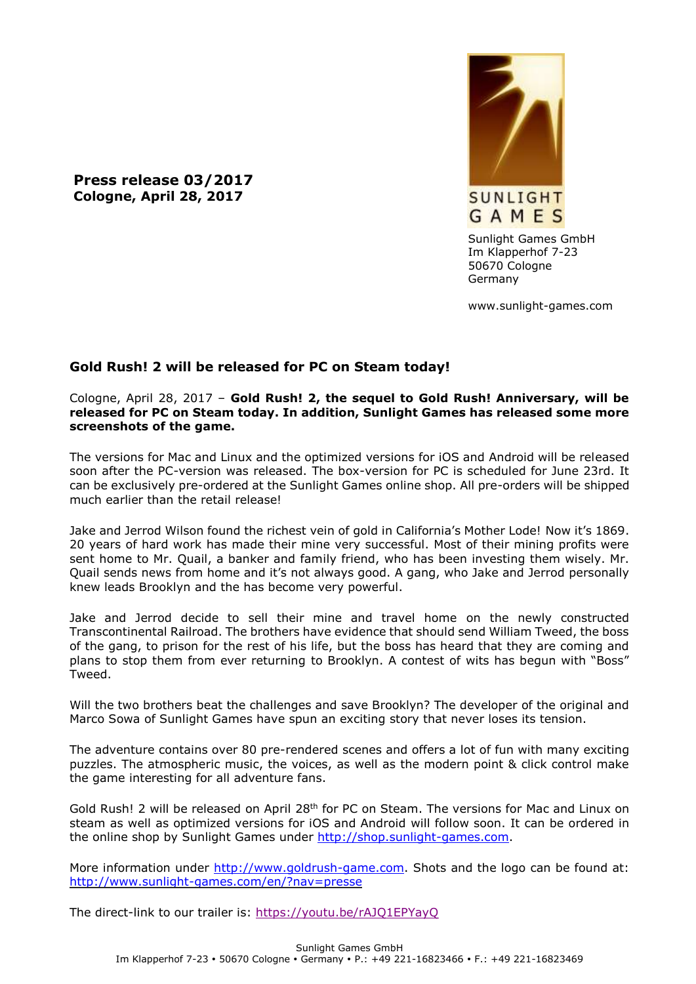**Press release 03/2017 Cologne, April 28, 2017**



Sunlight Games GmbH Im Klapperhof 7-23 50670 Cologne Germany

www.sunlight-games.com

## **Gold Rush! 2 will be released for PC on Steam today!**

## Cologne, April 28, 2017 – **Gold Rush! 2, the sequel to Gold Rush! Anniversary, will be released for PC on Steam today. In addition, Sunlight Games has released some more screenshots of the game.**

The versions for Mac and Linux and the optimized versions for iOS and Android will be released soon after the PC-version was released. The box-version for PC is scheduled for June 23rd. It can be exclusively pre-ordered at the Sunlight Games online shop. All pre-orders will be shipped much earlier than the retail release!

Jake and Jerrod Wilson found the richest vein of gold in California's Mother Lode! Now it's 1869. 20 years of hard work has made their mine very successful. Most of their mining profits were sent home to Mr. Quail, a banker and family friend, who has been investing them wisely. Mr. Quail sends news from home and it's not always good. A gang, who Jake and Jerrod personally knew leads Brooklyn and the has become very powerful.

Jake and Jerrod decide to sell their mine and travel home on the newly constructed Transcontinental Railroad. The brothers have evidence that should send William Tweed, the boss of the gang, to prison for the rest of his life, but the boss has heard that they are coming and plans to stop them from ever returning to Brooklyn. A contest of wits has begun with "Boss" Tweed.

Will the two brothers beat the challenges and save Brooklyn? The developer of the original and Marco Sowa of Sunlight Games have spun an exciting story that never loses its tension.

The adventure contains over 80 pre-rendered scenes and offers a lot of fun with many exciting puzzles. The atmospheric music, the voices, as well as the modern point & click control make the game interesting for all adventure fans.

Gold Rush! 2 will be released on April 28<sup>th</sup> for PC on Steam. The versions for Mac and Linux on steam as well as optimized versions for iOS and Android will follow soon. It can be ordered in the online shop by Sunlight Games under [http://shop.sunlight-games.com.](http://shop.sunlight-games.com/)

More information under [http://www.goldrush-game.com.](http://www.goldrush-game.com/) Shots and the logo can be found at: <http://www.sunlight-games.com/en/?nav=presse>

The direct-link to our trailer is:<https://youtu.be/rAJQ1EPYayQ>